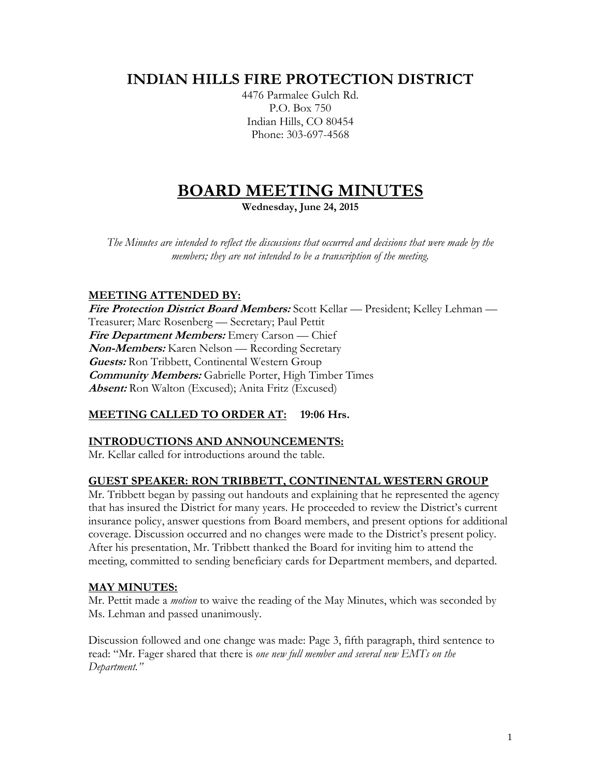# **INDIAN HILLS FIRE PROTECTION DISTRICT**

4476 Parmalee Gulch Rd. P.O. Box 750 Indian Hills, CO 80454 Phone: 303-697-4568

# **BOARD MEETING MINUTES**

**Wednesday, June 24, 2015**

*The Minutes are intended to reflect the discussions that occurred and decisions that were made by the members; they are not intended to be a transcription of the meeting.*

# **MEETING ATTENDED BY:**

**Fire Protection District Board Members:** Scott Kellar — President; Kelley Lehman — Treasurer; Marc Rosenberg — Secretary; Paul Pettit **Fire Department Members:** Emery Carson — Chief **Non-Members:** Karen Nelson — Recording Secretary **Guests:** Ron Tribbett, Continental Western Group **Community Members:** Gabrielle Porter, High Timber Times **Absent:** Ron Walton (Excused); Anita Fritz (Excused)

# **MEETING CALLED TO ORDER AT: 19:06 Hrs.**

#### **INTRODUCTIONS AND ANNOUNCEMENTS:**

Mr. Kellar called for introductions around the table.

#### **GUEST SPEAKER: RON TRIBBETT, CONTINENTAL WESTERN GROUP**

Mr. Tribbett began by passing out handouts and explaining that he represented the agency that has insured the District for many years. He proceeded to review the District's current insurance policy, answer questions from Board members, and present options for additional coverage. Discussion occurred and no changes were made to the District's present policy. After his presentation, Mr. Tribbett thanked the Board for inviting him to attend the meeting, committed to sending beneficiary cards for Department members, and departed.

#### **MAY MINUTES:**

Mr. Pettit made a *motion* to waive the reading of the May Minutes, which was seconded by Ms. Lehman and passed unanimously.

Discussion followed and one change was made: Page 3, fifth paragraph, third sentence to read: "Mr. Fager shared that there is *one new full member and several new EMTs on the Department."*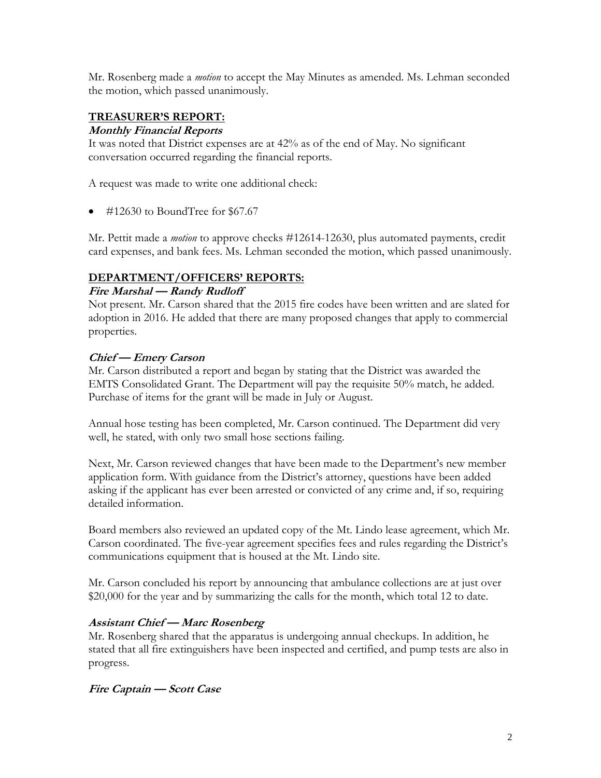Mr. Rosenberg made a *motion* to accept the May Minutes as amended. Ms. Lehman seconded the motion, which passed unanimously.

#### **TREASURER'S REPORT:**

#### **Monthly Financial Reports**

It was noted that District expenses are at 42% as of the end of May. No significant conversation occurred regarding the financial reports.

A request was made to write one additional check:

 $\bullet$  #12630 to BoundTree for \$67.67

Mr. Pettit made a *motion* to approve checks #12614-12630, plus automated payments, credit card expenses, and bank fees. Ms. Lehman seconded the motion, which passed unanimously.

#### **DEPARTMENT/OFFICERS' REPORTS:**

#### **Fire Marshal — Randy Rudloff**

Not present. Mr. Carson shared that the 2015 fire codes have been written and are slated for adoption in 2016. He added that there are many proposed changes that apply to commercial properties.

#### **Chief — Emery Carson**

Mr. Carson distributed a report and began by stating that the District was awarded the EMTS Consolidated Grant. The Department will pay the requisite 50% match, he added. Purchase of items for the grant will be made in July or August.

Annual hose testing has been completed, Mr. Carson continued. The Department did very well, he stated, with only two small hose sections failing.

Next, Mr. Carson reviewed changes that have been made to the Department's new member application form. With guidance from the District's attorney, questions have been added asking if the applicant has ever been arrested or convicted of any crime and, if so, requiring detailed information.

Board members also reviewed an updated copy of the Mt. Lindo lease agreement, which Mr. Carson coordinated. The five-year agreement specifies fees and rules regarding the District's communications equipment that is housed at the Mt. Lindo site.

Mr. Carson concluded his report by announcing that ambulance collections are at just over \$20,000 for the year and by summarizing the calls for the month, which total 12 to date.

#### **Assistant Chief — Marc Rosenberg**

Mr. Rosenberg shared that the apparatus is undergoing annual checkups. In addition, he stated that all fire extinguishers have been inspected and certified, and pump tests are also in progress.

#### **Fire Captain — Scott Case**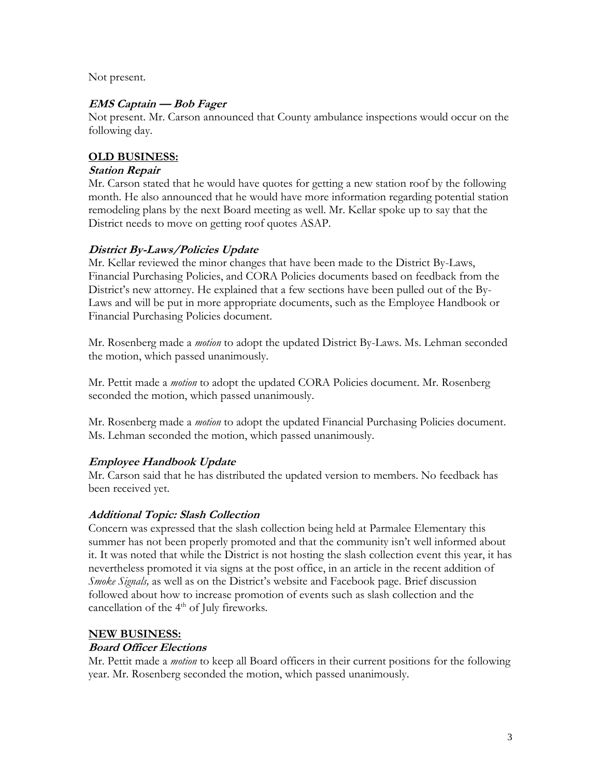Not present.

#### **EMS Captain — Bob Fager**

Not present. Mr. Carson announced that County ambulance inspections would occur on the following day.

#### **OLD BUSINESS:**

#### **Station Repair**

Mr. Carson stated that he would have quotes for getting a new station roof by the following month. He also announced that he would have more information regarding potential station remodeling plans by the next Board meeting as well. Mr. Kellar spoke up to say that the District needs to move on getting roof quotes ASAP.

#### **District By-Laws/Policies Update**

Mr. Kellar reviewed the minor changes that have been made to the District By-Laws, Financial Purchasing Policies, and CORA Policies documents based on feedback from the District's new attorney. He explained that a few sections have been pulled out of the By-Laws and will be put in more appropriate documents, such as the Employee Handbook or Financial Purchasing Policies document.

Mr. Rosenberg made a *motion* to adopt the updated District By-Laws. Ms. Lehman seconded the motion, which passed unanimously.

Mr. Pettit made a *motion* to adopt the updated CORA Policies document. Mr. Rosenberg seconded the motion, which passed unanimously.

Mr. Rosenberg made a *motion* to adopt the updated Financial Purchasing Policies document. Ms. Lehman seconded the motion, which passed unanimously.

#### **Employee Handbook Update**

Mr. Carson said that he has distributed the updated version to members. No feedback has been received yet.

#### **Additional Topic: Slash Collection**

Concern was expressed that the slash collection being held at Parmalee Elementary this summer has not been properly promoted and that the community isn't well informed about it. It was noted that while the District is not hosting the slash collection event this year, it has nevertheless promoted it via signs at the post office, in an article in the recent addition of *Smoke Signals,* as well as on the District's website and Facebook page. Brief discussion followed about how to increase promotion of events such as slash collection and the cancellation of the 4<sup>th</sup> of July fireworks.

#### **NEW BUSINESS:**

#### **Board Officer Elections**

Mr. Pettit made a *motion* to keep all Board officers in their current positions for the following year. Mr. Rosenberg seconded the motion, which passed unanimously.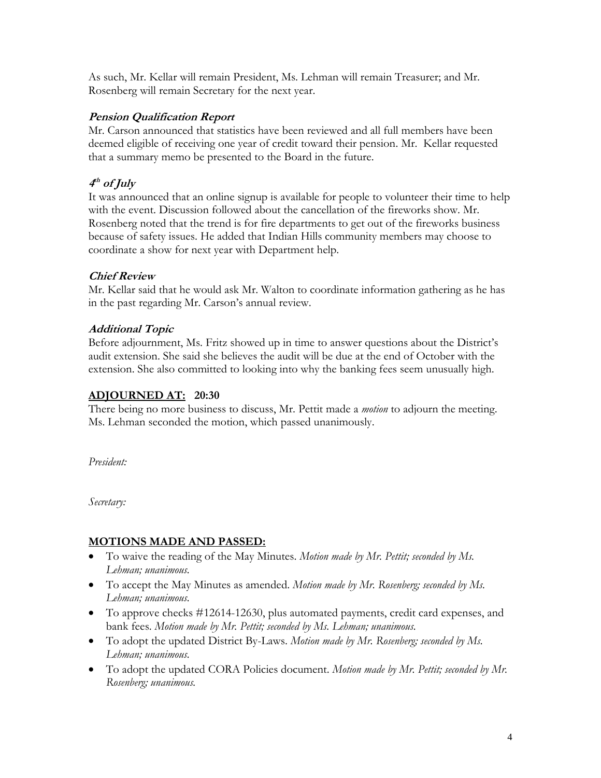As such, Mr. Kellar will remain President, Ms. Lehman will remain Treasurer; and Mr. Rosenberg will remain Secretary for the next year.

#### **Pension Qualification Report**

Mr. Carson announced that statistics have been reviewed and all full members have been deemed eligible of receiving one year of credit toward their pension. Mr. Kellar requested that a summary memo be presented to the Board in the future.

### **4 th of July**

It was announced that an online signup is available for people to volunteer their time to help with the event. Discussion followed about the cancellation of the fireworks show. Mr. Rosenberg noted that the trend is for fire departments to get out of the fireworks business because of safety issues. He added that Indian Hills community members may choose to coordinate a show for next year with Department help.

#### **Chief Review**

Mr. Kellar said that he would ask Mr. Walton to coordinate information gathering as he has in the past regarding Mr. Carson's annual review.

#### **Additional Topic**

Before adjournment, Ms. Fritz showed up in time to answer questions about the District's audit extension. She said she believes the audit will be due at the end of October with the extension. She also committed to looking into why the banking fees seem unusually high.

#### **ADJOURNED AT: 20:30**

There being no more business to discuss, Mr. Pettit made a *motion* to adjourn the meeting. Ms. Lehman seconded the motion, which passed unanimously.

*President:*

*Secretary:*

#### **MOTIONS MADE AND PASSED:**

- To waive the reading of the May Minutes. *Motion made by Mr. Pettit; seconded by Ms. Lehman; unanimous.*
- To accept the May Minutes as amended. *Motion made by Mr. Rosenberg; seconded by Ms. Lehman; unanimous.*
- To approve checks #12614-12630, plus automated payments, credit card expenses, and bank fees. *Motion made by Mr. Pettit; seconded by Ms. Lehman; unanimous.*
- To adopt the updated District By-Laws. *Motion made by Mr. Rosenberg; seconded by Ms. Lehman; unanimous.*
- To adopt the updated CORA Policies document. *Motion made by Mr. Pettit; seconded by Mr. Rosenberg; unanimous.*